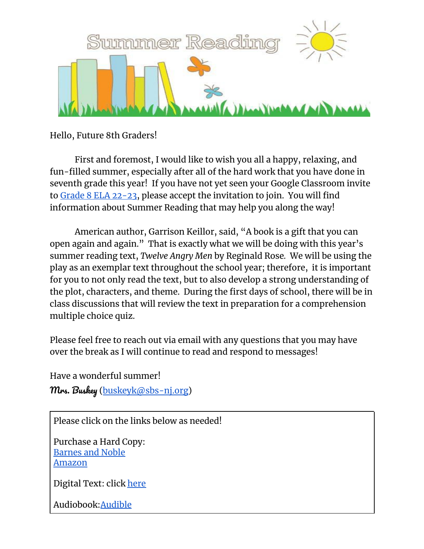

Hello, Future 8th Graders!

First and foremost, I would like to wish you all a happy, relaxing, and fun-filled summer, especially after all of the hard work that you have done in seventh grade this year! If you have not yet seen your Google Classroom invite to Grade 8 ELA [22-23,](https://classroom.google.com/u/0/c/MzYzNTQwODEwNDAz) please accept the invitation to join. You will find information about Summer Reading that may help you along the way!

American author, Garrison Keillor, said, "A book is a gift that you can open again and again." That is exactly what we will be doing with this year's summer reading text, *Twelve Angry Men* by Reginald Rose*.* We will be using the play as an exemplar text throughout the school year; therefore, it is important for you to not only read the text, but to also develop a strong understanding of the plot, characters, and theme. During the first days of school, there will be in class discussions that will review the text in preparation for a comprehension multiple choice quiz.

Please feel free to reach out via email with any questions that you may have over the break as I will continue to read and respond to messages!

Have a wonderful summer! Mrs. Buskey ([buskeyk@sbs-nj.org](mailto:buskeyk@sbs-nj.org))

Please click on the links below as needed!

Purchase a Hard Copy: [Barnes](https://www.barnesandnoble.com/w/twelve-angry-men-reginald-rose/1100623172?ean=9780143104407) and Noble [Amazon](https://www.amazon.com/Twelve-Angry-Men-Penguin-Classics/dp/0143104403/ref=sr_1_1?crid=1XNLP3F6G0VCS&keywords=12+angry+men+book&qid=1654790581&sprefix=12+angry+men%2Caps%2C52&sr=8-1)

Digital Text: click [here](https://hieberj.weebly.com/uploads/1/1/0/3/110398915/12angmen.pdf)

Audiobook[:Audible](https://www.audible.com/pd/Twelve-Angry-Men-Audiobook/B002V59VQ6?qid=1654791131&sr=1-1&ref=a_search_c3_lProduct_1_1&pf_rd_p=83218cca-c308-412f-bfcf-90198b687a2f&pf_rd_r=3D3799H2QPP5G02R4AG7)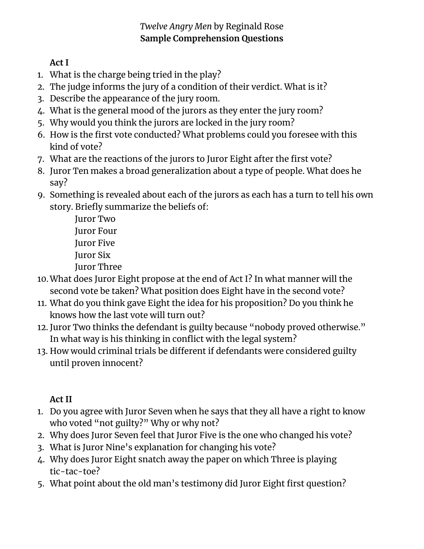## *Twelve Angry Men* by Reginald Rose **Sample Comprehension Questions**

**Act I**

- 1. What is the charge being tried in the play?
- 2. The judge informs the jury of a condition of their verdict. What is it?
- 3. Describe the appearance of the jury room.
- 4. What is the general mood of the jurors as they enter the jury room?
- 5. Why would you think the jurors are locked in the jury room?
- 6. How is the first vote conducted? What problems could you foresee with this kind of vote?
- 7. What are the reactions of the jurors to Juror Eight after the first vote?
- 8. Juror Ten makes a broad generalization about a type of people. What does he say?
- 9. Something is revealed about each of the jurors as each has a turn to tell his own story. Briefly summarize the beliefs of:

Juror Two Juror Four Juror Five Juror Six Juror Three

- 10.What does Juror Eight propose at the end of Act I? In what manner will the second vote be taken? What position does Eight have in the second vote?
- 11. What do you think gave Eight the idea for his proposition? Do you think he knows how the last vote will turn out?
- 12. Juror Two thinks the defendant is guilty because "nobody proved otherwise." In what way is his thinking in conflict with the legal system?
- 13. How would criminal trials be different if defendants were considered guilty until proven innocent?

## **Act II**

- 1. Do you agree with Juror Seven when he says that they all have a right to know who voted "not guilty?" Why or why not?
- 2. Why does Juror Seven feel that Juror Five is the one who changed his vote?
- 3. What is Juror Nine's explanation for changing his vote?
- 4. Why does Juror Eight snatch away the paper on which Three is playing tic-tac-toe?
- 5. What point about the old man's testimony did Juror Eight first question?